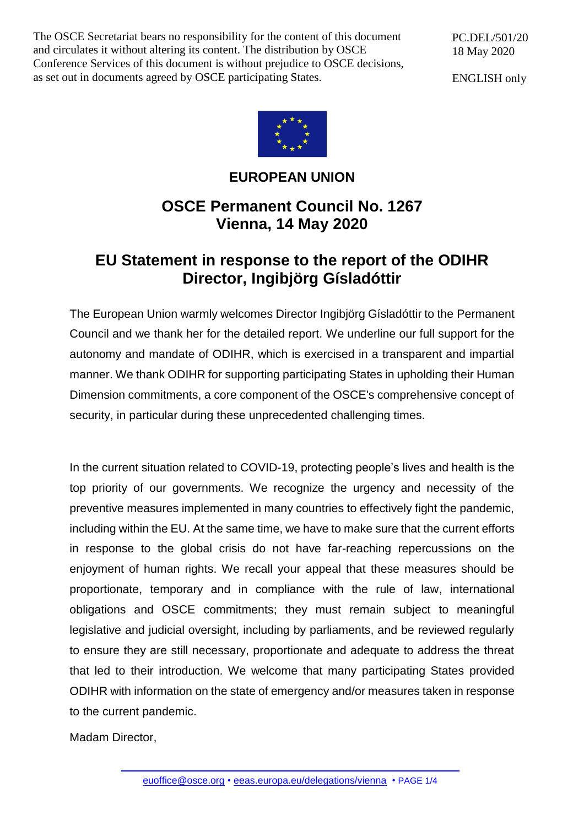The OSCE Secretariat bears no responsibility for the content of this document and circulates it without altering its content. The distribution by OSCE Conference Services of this document is without prejudice to OSCE decisions, as set out in documents agreed by OSCE participating States.

PC.DEL/501/20 18 May 2020

ENGLISH only



### **EUROPEAN UNION**

## **OSCE Permanent Council No. 1267 Vienna, 14 May 2020**

# **EU Statement in response to the report of the ODIHR Director, Ingibjörg Gísladóttir**

The European Union warmly welcomes Director Ingibjörg Gísladóttir to the Permanent Council and we thank her for the detailed report. We underline our full support for the autonomy and mandate of ODIHR, which is exercised in a transparent and impartial manner. We thank ODIHR for supporting participating States in upholding their Human Dimension commitments, a core component of the OSCE's comprehensive concept of security, in particular during these unprecedented challenging times.

In the current situation related to COVID-19, protecting people's lives and health is the top priority of our governments. We recognize the urgency and necessity of the preventive measures implemented in many countries to effectively fight the pandemic, including within the EU. At the same time, we have to make sure that the current efforts in response to the global crisis do not have far-reaching repercussions on the enjoyment of human rights. We recall your appeal that these measures should be proportionate, temporary and in compliance with the rule of law, international obligations and OSCE commitments; they must remain subject to meaningful legislative and judicial oversight, including by parliaments, and be reviewed regularly to ensure they are still necessary, proportionate and adequate to address the threat that led to their introduction. We welcome that many participating States provided ODIHR with information on the state of emergency and/or measures taken in response to the current pandemic.

Madam Director,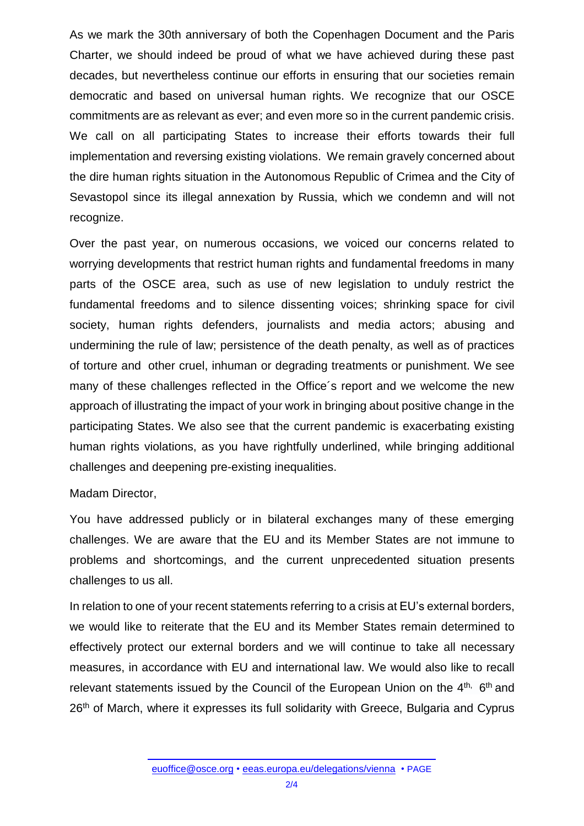As we mark the 30th anniversary of both the Copenhagen Document and the Paris Charter, we should indeed be proud of what we have achieved during these past decades, but nevertheless continue our efforts in ensuring that our societies remain democratic and based on universal human rights. We recognize that our OSCE commitments are as relevant as ever; and even more so in the current pandemic crisis. We call on all participating States to increase their efforts towards their full implementation and reversing existing violations. We remain gravely concerned about the dire human rights situation in the Autonomous Republic of Crimea and the City of Sevastopol since its illegal annexation by Russia, which we condemn and will not recognize.

Over the past year, on numerous occasions, we voiced our concerns related to worrying developments that restrict human rights and fundamental freedoms in many parts of the OSCE area, such as use of new legislation to unduly restrict the fundamental freedoms and to silence dissenting voices; shrinking space for civil society, human rights defenders, journalists and media actors; abusing and undermining the rule of law; persistence of the death penalty, as well as of practices of torture and other cruel, inhuman or degrading treatments or punishment. We see many of these challenges reflected in the Office´s report and we welcome the new approach of illustrating the impact of your work in bringing about positive change in the participating States. We also see that the current pandemic is exacerbating existing human rights violations, as you have rightfully underlined, while bringing additional challenges and deepening pre-existing inequalities.

### Madam Director,

You have addressed publicly or in bilateral exchanges many of these emerging challenges. We are aware that the EU and its Member States are not immune to problems and shortcomings, and the current unprecedented situation presents challenges to us all.

In relation to one of your recent statements referring to a crisis at EU's external borders, we would like to reiterate that the EU and its Member States remain determined to effectively protect our external borders and we will continue to take all necessary measures, in accordance with EU and international law. We would also like to recall relevant statements issued by the Council of the European Union on the 4<sup>th,</sup> 6<sup>th</sup> and 26<sup>th</sup> of March, where it expresses its full solidarity with Greece, Bulgaria and Cyprus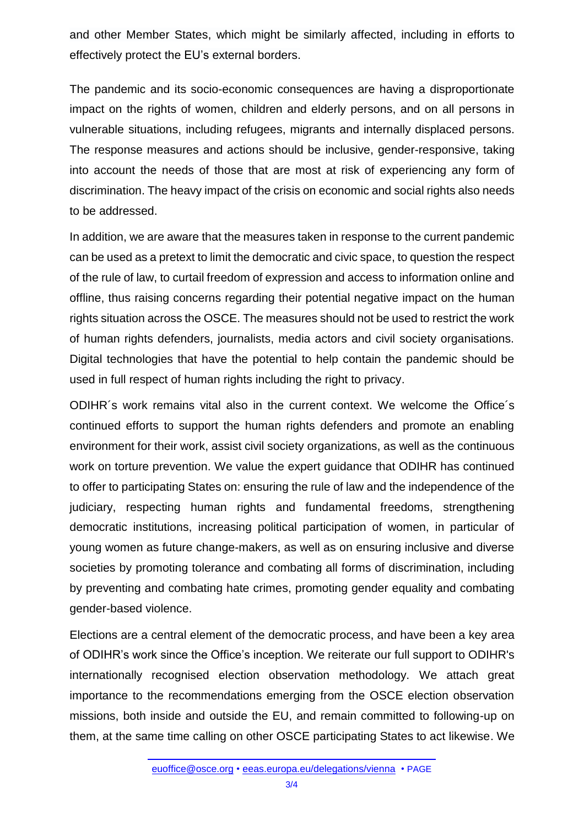and other Member States, which might be similarly affected, including in efforts to effectively protect the EU's external borders.

The pandemic and its socio-economic consequences are having a disproportionate impact on the rights of women, children and elderly persons, and on all persons in vulnerable situations, including refugees, migrants and internally displaced persons. The response measures and actions should be inclusive, gender-responsive, taking into account the needs of those that are most at risk of experiencing any form of discrimination. The heavy impact of the crisis on economic and social rights also needs to be addressed.

In addition, we are aware that the measures taken in response to the current pandemic can be used as a pretext to limit the democratic and civic space, to question the respect of the rule of law, to curtail freedom of expression and access to information online and offline, thus raising concerns regarding their potential negative impact on the human rights situation across the OSCE. The measures should not be used to restrict the work of human rights defenders, journalists, media actors and civil society organisations. Digital technologies that have the potential to help contain the pandemic should be used in full respect of human rights including the right to privacy.

ODIHR´s work remains vital also in the current context. We welcome the Office´s continued efforts to support the human rights defenders and promote an enabling environment for their work, assist civil society organizations, as well as the continuous work on torture prevention. We value the expert guidance that ODIHR has continued to offer to participating States on: ensuring the rule of law and the independence of the judiciary, respecting human rights and fundamental freedoms, strengthening democratic institutions, increasing political participation of women, in particular of young women as future change-makers, as well as on ensuring inclusive and diverse societies by promoting tolerance and combating all forms of discrimination, including by preventing and combating hate crimes, promoting gender equality and combating gender-based violence.

Elections are a central element of the democratic process, and have been a key area of ODIHR's work since the Office's inception. We reiterate our full support to ODIHR's internationally recognised election observation methodology. We attach great importance to the recommendations emerging from the OSCE election observation missions, both inside and outside the EU, and remain committed to following-up on them, at the same time calling on other OSCE participating States to act likewise. We